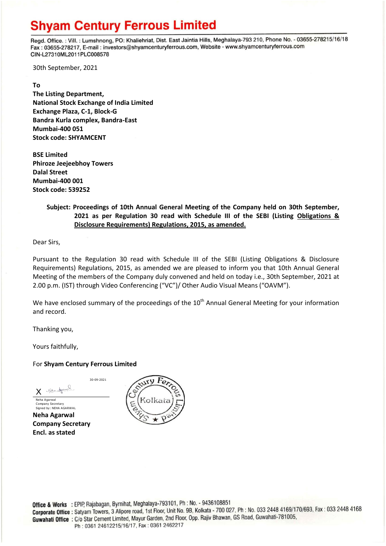# **Shyam Century Ferrous Limited**

Regd. Office.: Vill.: Lumshnong, PO: Khaliehriat, Dist. East Jaintia Hills, Meghalaya-793 210, Phone No. - 03655-278215/16/18 Fax: 03655-278217, E-mail: investors@shyamcenturyferrous.com, Website - www.shyamcenturyferrous.com CIN-L27310ML2011PLC008578

30th September, 2021

#### **To**

**The Listing Department, National Stock Exchange of India Limited Exchange Plaza, C-1, Block-G Bandra Kurla complex, Bandra-East Mumbai-400 051 Stock code: SHYAMCENT**

**BSE Limited Phiroze Jeejeebhoy Towers Dalal Street Mumbai-400 001 Stock code: 539252**

### **Subject: Proceedings of 10th Annual General Meeting of the Company held on 30th September, 2021 as per Regulation 30 read with Schedule III of the SEBI (Listing Obligations & Disclosure Requirements) Regulations, 2015, as amended.**

Dear Sirs,

Pursuant to the Regulation 30 read with Schedule III of the SEBI (Listing Obligations & Disclosure Requirements) Regulations, 2015, as amended we are pleased to inform you that 10th Annual General Meeting of the members of the Company duly convened and held on today i.e., 30th September, 2021 at 2.00 p.m. (IST) through Video Conferencing ("VC")/ Other Audio Visual Means ("OAVM").

We have enclosed summary of the proceedings of the  $10<sup>th</sup>$  Annual General Meeting for your information and record.

Thanking you,

Yours faithfully,

### For **Shyam Century Ferrous Limited**

30-09-2021

Noto for X Neha Agarwal Company Secretary

Signed by: NEHA AGARWAL **Neha Agarwal Company Secretary Encl. as stated**

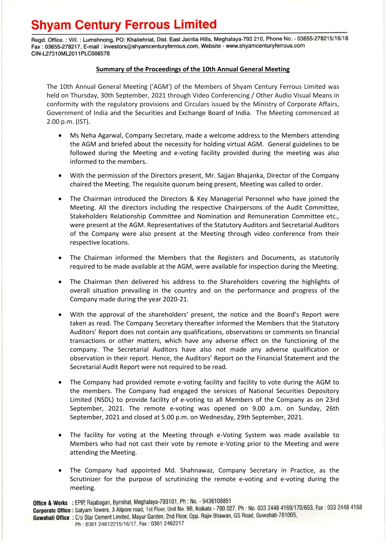# **Shyam Century Ferrous Limited**

Regd. Office.: Vill.: Lumshnong, PO: Khaliehriat, Dist. East Jaintia Hills, Meghalaya-793 210, Phone No. - 03655-278215/16/18 Fax: 03655-278217, E-mail: investors@shyamcenturyferrous.com, Website - www.shyamcenturyferrous.com CIN-L27310ML2011PLC008578

#### **Summary of the Proceedings of the 10th Annual General Meeting**

The 10th Annual General Meeting ('AGM') of the Members of Shyam Century Ferrous Limited was held on Thursday, 30th September, 2021 through Video Conferencing / Other Audio Visual Means in conformity with the regulatory provisions and Circulars issued by the Ministry of Corporate Affairs, Government of India and the Securities and Exchange Board of India. The Meeting commenced at 2.00 p.m. (IST).

- Ms Neha Agarwal, Company Secretary, made a welcome address to the Members attending the AGM and briefed about the necessity for holding virtual AGM. General guidelines to be followed during the Meeting and e-voting facility provided during the meeting was also informed to the members.
- With the permission of the Directors present, Mr. Sajjan Bhajanka, Director of the Company chaired the Meeting. The requisite quorum being present, Meeting was called to order.
- The Chairman introduced the Directors & Key Managerial Personnel who have joined the Meeting. All the directors including the respective Chairpersons of the Audit Committee, Stakeholders Relationship Committee and Nomination and Remuneration Committee etc., were present at the AGM. Representatives of the Statutory Auditors and Secretarial Auditors of the Company were also present at the Meeting through video conference from their respective locations.
- The Chairman informed the Members that the Registers and Documents, as statutorily required to be made available at the AGM, were available for inspection during the Meeting.
- The Chairman then delivered his address to the Shareholders covering the highlights of overall situation prevailing in the country and on the performance and progress of the Company made during the year 2020-21.
- With the approval of the shareholders' present, the notice and the Board's Report were taken as read. The Company Secretary thereafter informed the Members that the Statutory Auditors' Report does not contain any qualifications, observations or comments on financial transactions or other matters, which have any adverse effect on the functioning of the company. The Secretarial Auditors have also not made any adverse qualification or observation in their report. Hence, the Auditors' Report on the Financial Statement and the Secretarial Audit Report were not required to be read.
- The Company had provided remote e-voting facility and facility to vote during the AGM to the members. The Company had engaged the services of National Securities Depository Limited (NSDL) to provide facility of e-voting to all Members of the Company as on 23rd September, 2021. The remote e-voting was opened on 9.00 a.m. on Sunday, 26th September, 2021 and closed at 5.00 p.m. on Wednesday, 29th September, 2021.
- The facility for voting at the Meeting through e-Voting System was made available to Members who had not cast their vote by remote e-Voting prior to the Meeting and were attending the Meeting.
- The Company had appointed Md. Shahnawaz, Company Secretary in Practice, as the Scrutinizer for the purpose of scrutinizing the remote e-voting and e-voting during the meeting.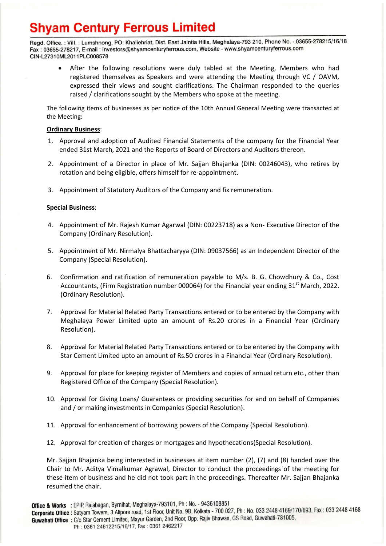# **Shyam Century Ferrous Limited**

Regd. Office.: Vill.: Lumshnong, PO: Khaliehriat, Dist. East Jaintia Hills, Meghalaya-793 210, Phone No. - 03655-278215/16/18 Fax: 03655-278217, E-mail: investors@shyamcenturyferrous.com, Website - www.shyamcenturyferrous.com CIN-L27310ML2011PLC008578

 After the following resolutions were duly tabled at the Meeting, Members who had registered themselves as Speakers and were attending the Meeting through VC / OAVM, expressed their views and sought clarifications. The Chairman responded to the queries raised / clarifications sought by the Members who spoke at the meeting.

The following items of businesses as per notice of the 10th Annual General Meeting were transacted at the Meeting:

### **Ordinary Business**:

- 1. Approval and adoption of Audited Financial Statements of the company for the Financial Year ended 31st March, 2021 and the Reports of Board of Directors and Auditors thereon.
- 2. Appointment of a Director in place of Mr. Sajjan Bhajanka (DIN: 00246043), who retires by rotation and being eligible, offers himself for re-appointment.
- 3. Appointment of Statutory Auditors of the Company and fix remuneration.

#### **Special Business**:

- 4. Appointment of Mr. Rajesh Kumar Agarwal (DIN: 00223718) as a Non- Executive Director of the Company (Ordinary Resolution).
- 5. Appointment of Mr. Nirmalya Bhattacharyya (DIN: 09037566) as an Independent Director of the Company (Special Resolution).
- 6. Confirmation and ratification of remuneration payable to M/s. B. G. Chowdhury & Co., Cost Accountants, (Firm Registration number 000064) for the Financial year ending  $31<sup>st</sup>$  March, 2022. (Ordinary Resolution).
- 7. Approval for Material Related Party Transactions entered or to be entered by the Company with Meghalaya Power Limited upto an amount of Rs.20 crores in a Financial Year (Ordinary Resolution).
- 8. Approval for Material Related Party Transactions entered or to be entered by the Company with Star Cement Limited upto an amount of Rs.50 crores in a Financial Year (Ordinary Resolution).
- 9. Approval for place for keeping register of Members and copies of annual return etc., other than Registered Office of the Company (Special Resolution).
- 10. Approval for Giving Loans/ Guarantees or providing securities for and on behalf of Companies and / or making investments in Companies (Special Resolution).
- 11. Approval for enhancement of borrowing powers of the Company (Special Resolution).
- 12. Approval for creation of charges or mortgages and hypothecations(Special Resolution).

Mr. Sajjan Bhajanka being interested in businesses at item number (2), (7) and (8) handed over the Chair to Mr. Aditya Vimalkumar Agrawal, Director to conduct the proceedings of the meeting for these item of business and he did not took part in the proceedings. Thereafter Mr. Sajjan Bhajanka resumed the chair.

Ph: 0361 24612215/16/17, Fax: 0361 2462217

Office & Works : EPIP, Rajabagan, Byrnihat, Meghalaya-793101, Ph : No. - 9436108851 **Corporate Office :** Satyam Towers, 3 Alipore road, 1st Floor, Unit No. 9B, Kolkata - 700 027, Ph : No. 033 2448 4169/170/693, Fax : 033 2448 4168

Guwahati Office: C/o Star Cement Limited, Mayur Garden, 2nd Floor, Opp. Rajiv Bhawan, GS Road, Guwahati-781005,